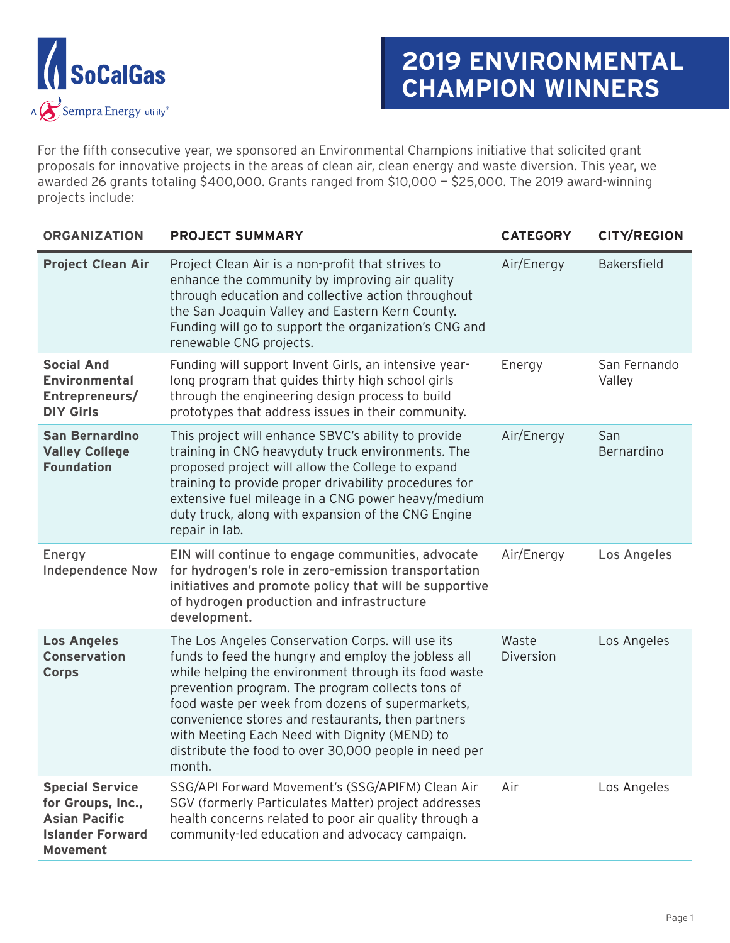

## **2019 ENVIRONMENTAL CHAMPION WINNERS**

For the fifth consecutive year, we sponsored an Environmental Champions initiative that solicited grant proposals for innovative projects in the areas of clean air, clean energy and waste diversion. This year, we awarded 26 grants totaling \$400,000. Grants ranged from \$10,000 — \$25,000. The 2019 award-winning projects include:

| <b>ORGANIZATION</b>                                                                                        | <b>PROJECT SUMMARY</b>                                                                                                                                                                                                                                                                                                                                                                                                                           | <b>CATEGORY</b>    | <b>CITY/REGION</b>     |
|------------------------------------------------------------------------------------------------------------|--------------------------------------------------------------------------------------------------------------------------------------------------------------------------------------------------------------------------------------------------------------------------------------------------------------------------------------------------------------------------------------------------------------------------------------------------|--------------------|------------------------|
| <b>Project Clean Air</b>                                                                                   | Project Clean Air is a non-profit that strives to<br>enhance the community by improving air quality<br>through education and collective action throughout<br>the San Joaquin Valley and Eastern Kern County.<br>Funding will go to support the organization's CNG and<br>renewable CNG projects.                                                                                                                                                 | Air/Energy         | <b>Bakersfield</b>     |
| <b>Social And</b><br><b>Environmental</b><br>Entrepreneurs/<br><b>DIY Girls</b>                            | Funding will support Invent Girls, an intensive year-<br>long program that guides thirty high school girls<br>through the engineering design process to build<br>prototypes that address issues in their community.                                                                                                                                                                                                                              | Energy             | San Fernando<br>Valley |
| <b>San Bernardino</b><br><b>Valley College</b><br><b>Foundation</b>                                        | This project will enhance SBVC's ability to provide<br>training in CNG heavyduty truck environments. The<br>proposed project will allow the College to expand<br>training to provide proper drivability procedures for<br>extensive fuel mileage in a CNG power heavy/medium<br>duty truck, along with expansion of the CNG Engine<br>repair in lab.                                                                                             | Air/Energy         | San<br>Bernardino      |
| Energy<br><b>Independence Now</b>                                                                          | EIN will continue to engage communities, advocate<br>for hydrogen's role in zero-emission transportation<br>initiatives and promote policy that will be supportive<br>of hydrogen production and infrastructure<br>development.                                                                                                                                                                                                                  | Air/Energy         | Los Angeles            |
| <b>Los Angeles</b><br><b>Conservation</b><br><b>Corps</b>                                                  | The Los Angeles Conservation Corps. will use its<br>funds to feed the hungry and employ the jobless all<br>while helping the environment through its food waste<br>prevention program. The program collects tons of<br>food waste per week from dozens of supermarkets,<br>convenience stores and restaurants, then partners<br>with Meeting Each Need with Dignity (MEND) to<br>distribute the food to over 30,000 people in need per<br>month. | Waste<br>Diversion | Los Angeles            |
| <b>Special Service</b><br>for Groups, Inc.,<br><b>Asian Pacific</b><br><b>Islander Forward</b><br>Movement | SSG/API Forward Movement's (SSG/APIFM) Clean Air<br>SGV (formerly Particulates Matter) project addresses<br>health concerns related to poor air quality through a<br>community-led education and advocacy campaign.                                                                                                                                                                                                                              | Air                | Los Angeles            |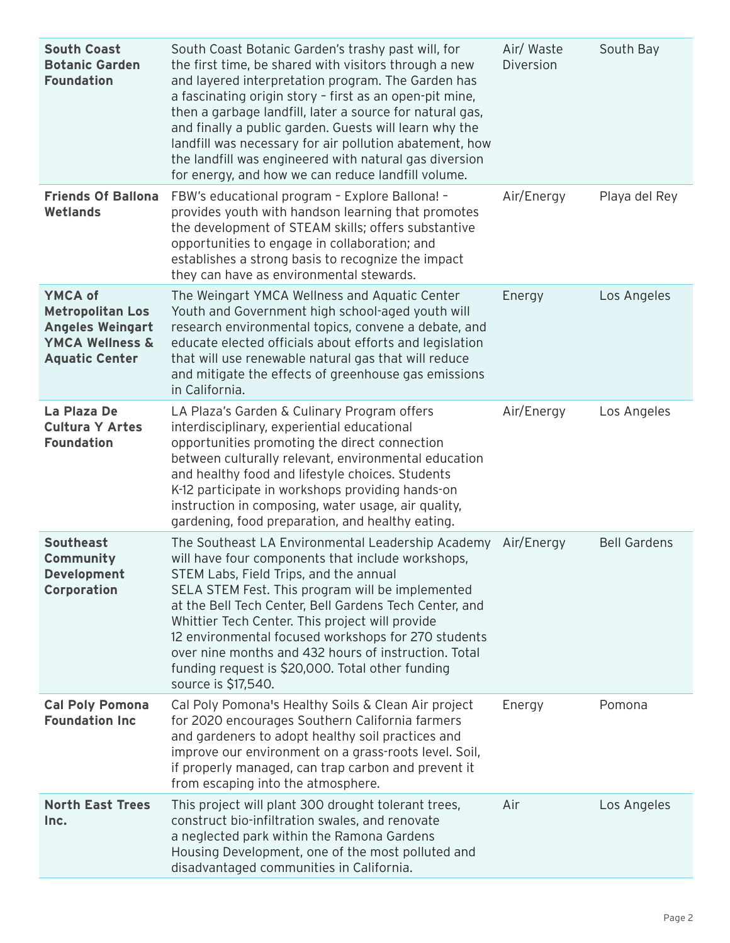| <b>South Coast</b><br><b>Botanic Garden</b><br><b>Foundation</b>                                                            | South Coast Botanic Garden's trashy past will, for<br>the first time, be shared with visitors through a new<br>and layered interpretation program. The Garden has<br>a fascinating origin story - first as an open-pit mine,<br>then a garbage landfill, later a source for natural gas,<br>and finally a public garden. Guests will learn why the<br>landfill was necessary for air pollution abatement, how<br>the landfill was engineered with natural gas diversion<br>for energy, and how we can reduce landfill volume. | Air/ Waste<br>Diversion | South Bay           |
|-----------------------------------------------------------------------------------------------------------------------------|-------------------------------------------------------------------------------------------------------------------------------------------------------------------------------------------------------------------------------------------------------------------------------------------------------------------------------------------------------------------------------------------------------------------------------------------------------------------------------------------------------------------------------|-------------------------|---------------------|
| <b>Friends Of Ballona</b><br>Wetlands                                                                                       | FBW's educational program - Explore Ballona! -<br>provides youth with handson learning that promotes<br>the development of STEAM skills; offers substantive<br>opportunities to engage in collaboration; and<br>establishes a strong basis to recognize the impact<br>they can have as environmental stewards.                                                                                                                                                                                                                | Air/Energy              | Playa del Rey       |
| <b>YMCA of</b><br><b>Metropolitan Los</b><br><b>Angeles Weingart</b><br><b>YMCA Wellness &amp;</b><br><b>Aquatic Center</b> | The Weingart YMCA Wellness and Aquatic Center<br>Youth and Government high school-aged youth will<br>research environmental topics, convene a debate, and<br>educate elected officials about efforts and legislation<br>that will use renewable natural gas that will reduce<br>and mitigate the effects of greenhouse gas emissions<br>in California.                                                                                                                                                                        | Energy                  | Los Angeles         |
| La Plaza De<br><b>Cultura Y Artes</b><br><b>Foundation</b>                                                                  | LA Plaza's Garden & Culinary Program offers<br>interdisciplinary, experiential educational<br>opportunities promoting the direct connection<br>between culturally relevant, environmental education<br>and healthy food and lifestyle choices. Students<br>K-12 participate in workshops providing hands-on<br>instruction in composing, water usage, air quality,<br>gardening, food preparation, and healthy eating.                                                                                                        | Air/Energy              | Los Angeles         |
| <b>Southeast</b><br>Community<br>Development<br>Corporation                                                                 | The Southeast LA Environmental Leadership Academy<br>will have four components that include workshops,<br>STEM Labs, Field Trips, and the annual<br>SELA STEM Fest. This program will be implemented<br>at the Bell Tech Center, Bell Gardens Tech Center, and<br>Whittier Tech Center. This project will provide<br>12 environmental focused workshops for 270 students<br>over nine months and 432 hours of instruction. Total<br>funding request is \$20,000. Total other funding<br>source is \$17,540.                   | Air/Energy              | <b>Bell Gardens</b> |
| <b>Cal Poly Pomona</b><br><b>Foundation Inc</b>                                                                             | Cal Poly Pomona's Healthy Soils & Clean Air project<br>for 2020 encourages Southern California farmers<br>and gardeners to adopt healthy soil practices and<br>improve our environment on a grass-roots level. Soil,<br>if properly managed, can trap carbon and prevent it<br>from escaping into the atmosphere.                                                                                                                                                                                                             | Energy                  | Pomona              |
| <b>North East Trees</b><br>Inc.                                                                                             | This project will plant 300 drought tolerant trees,<br>construct bio-infiltration swales, and renovate<br>a neglected park within the Ramona Gardens<br>Housing Development, one of the most polluted and<br>disadvantaged communities in California.                                                                                                                                                                                                                                                                         | Air                     | Los Angeles         |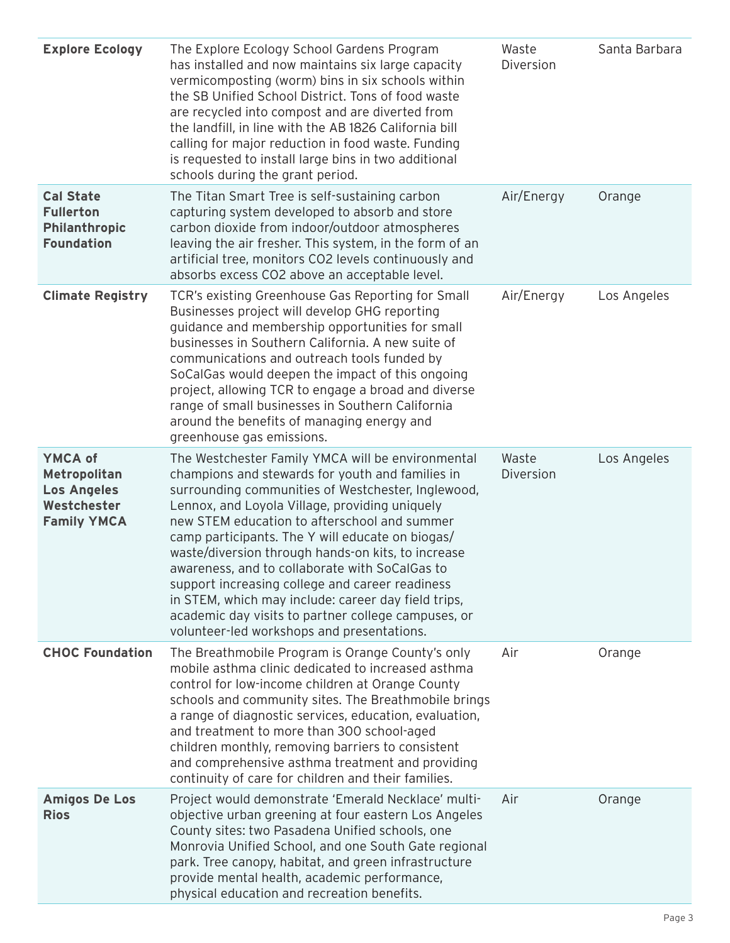| <b>Explore Ecology</b>                                                             | The Explore Ecology School Gardens Program<br>has installed and now maintains six large capacity<br>vermicomposting (worm) bins in six schools within<br>the SB Unified School District. Tons of food waste<br>are recycled into compost and are diverted from<br>the landfill, in line with the AB 1826 California bill<br>calling for major reduction in food waste. Funding<br>is requested to install large bins in two additional<br>schools during the grant period.                                                                                                                                                               | Waste<br>Diversion | Santa Barbara |
|------------------------------------------------------------------------------------|------------------------------------------------------------------------------------------------------------------------------------------------------------------------------------------------------------------------------------------------------------------------------------------------------------------------------------------------------------------------------------------------------------------------------------------------------------------------------------------------------------------------------------------------------------------------------------------------------------------------------------------|--------------------|---------------|
| <b>Cal State</b><br><b>Fullerton</b><br><b>Philanthropic</b><br><b>Foundation</b>  | The Titan Smart Tree is self-sustaining carbon<br>capturing system developed to absorb and store<br>carbon dioxide from indoor/outdoor atmospheres<br>leaving the air fresher. This system, in the form of an<br>artificial tree, monitors CO2 levels continuously and<br>absorbs excess CO2 above an acceptable level.                                                                                                                                                                                                                                                                                                                  | Air/Energy         | Orange        |
| <b>Climate Registry</b>                                                            | TCR's existing Greenhouse Gas Reporting for Small<br>Businesses project will develop GHG reporting<br>guidance and membership opportunities for small<br>businesses in Southern California. A new suite of<br>communications and outreach tools funded by<br>SoCalGas would deepen the impact of this ongoing<br>project, allowing TCR to engage a broad and diverse<br>range of small businesses in Southern California<br>around the benefits of managing energy and<br>greenhouse gas emissions.                                                                                                                                      | Air/Energy         | Los Angeles   |
| YMCA of<br>Metropolitan<br><b>Los Angeles</b><br>Westchester<br><b>Family YMCA</b> | The Westchester Family YMCA will be environmental<br>champions and stewards for youth and families in<br>surrounding communities of Westchester, Inglewood,<br>Lennox, and Loyola Village, providing uniquely<br>new STEM education to afterschool and summer<br>camp participants. The Y will educate on biogas/<br>waste/diversion through hands-on kits, to increase<br>awareness, and to collaborate with SoCalGas to<br>support increasing college and career readiness<br>in STEM, which may include: career day field trips,<br>academic day visits to partner college campuses, or<br>volunteer-led workshops and presentations. | Waste<br>Diversion | Los Angeles   |
| <b>CHOC Foundation</b>                                                             | The Breathmobile Program is Orange County's only<br>mobile asthma clinic dedicated to increased asthma<br>control for low-income children at Orange County<br>schools and community sites. The Breathmobile brings<br>a range of diagnostic services, education, evaluation,<br>and treatment to more than 300 school-aged<br>children monthly, removing barriers to consistent<br>and comprehensive asthma treatment and providing<br>continuity of care for children and their families.                                                                                                                                               | Air                | Orange        |
| <b>Amigos De Los</b><br><b>Rios</b>                                                | Project would demonstrate 'Emerald Necklace' multi-<br>objective urban greening at four eastern Los Angeles<br>County sites: two Pasadena Unified schools, one<br>Monrovia Unified School, and one South Gate regional<br>park. Tree canopy, habitat, and green infrastructure<br>provide mental health, academic performance,<br>physical education and recreation benefits.                                                                                                                                                                                                                                                            | Air                | Orange        |